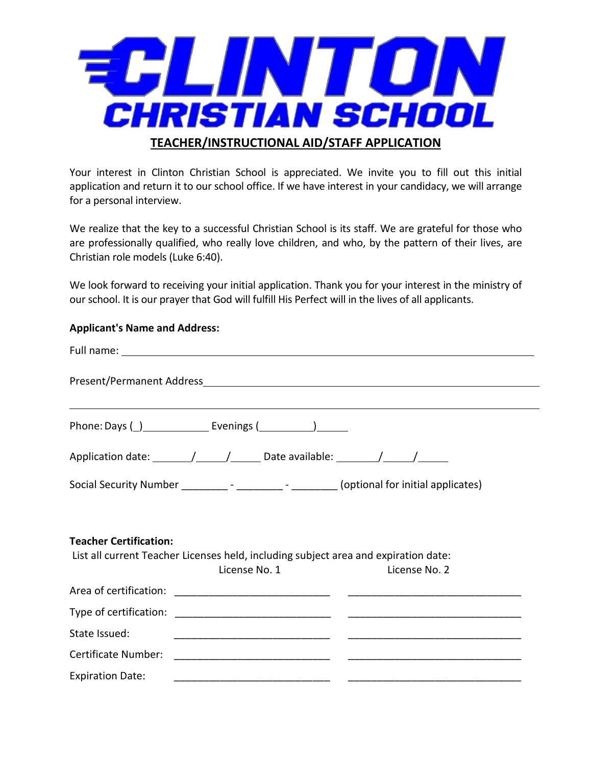

Your interest in Clinton Christian School is appreciated. We invite you to fill out this initial application and return it to our school office. If we have interest in your candidacy, we will arrange for a personal interview.

We realize that the key to a successful Christian School is its staff. We are grateful for those who are professionally qualified, who really love children, and who, by the pattern of their lives, are Christian role models (Luke 6:40).

We look forward to receiving your initial application. Thank you for your interest in the ministry of our school. It is our prayer that God will fulfill His Perfect will in the lives of all applicants.

### **Applicant's Name and Address:**

|                               | Application date: ________________________________Date available: __________________________________ |                                |  |  |
|-------------------------------|------------------------------------------------------------------------------------------------------|--------------------------------|--|--|
|                               | Social Security Number _____________- - __________ - (optional for initial applicates)               |                                |  |  |
| <b>Teacher Certification:</b> | List all current Teacher Licenses held, including subject area and expiration date:<br>License No. 1 | <b>Example 2</b> License No. 2 |  |  |
|                               |                                                                                                      |                                |  |  |
|                               |                                                                                                      |                                |  |  |
| State Issued:                 |                                                                                                      |                                |  |  |
|                               |                                                                                                      |                                |  |  |
| <b>Expiration Date:</b>       |                                                                                                      |                                |  |  |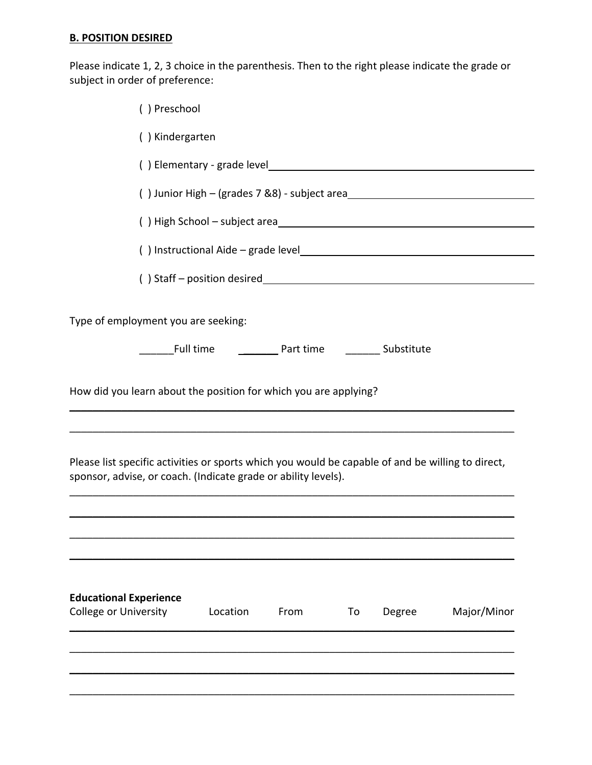## **B. POSITION DESIRED**

Please indicate 1, 2, 3 choice in the parenthesis. Then to the right please indicate the grade or subject in order of preference:

| () Preschool                                                                                                                                                        |                                                        |      |    |        |                                                                                                                                                                                                                               |
|---------------------------------------------------------------------------------------------------------------------------------------------------------------------|--------------------------------------------------------|------|----|--------|-------------------------------------------------------------------------------------------------------------------------------------------------------------------------------------------------------------------------------|
| () Kindergarten                                                                                                                                                     |                                                        |      |    |        |                                                                                                                                                                                                                               |
|                                                                                                                                                                     |                                                        |      |    |        |                                                                                                                                                                                                                               |
|                                                                                                                                                                     |                                                        |      |    |        | () Junior High - (grades 7 &8) - subject area                                                                                                                                                                                 |
|                                                                                                                                                                     |                                                        |      |    |        | () High School - subject area                                                                                                                                                                                                 |
|                                                                                                                                                                     |                                                        |      |    |        | () Instructional Aide - grade level executive contract to the contract of the contract of the contract of the contract of the contract of the contract of the contract of the contract of the contract of the contract of the |
|                                                                                                                                                                     |                                                        |      |    |        |                                                                                                                                                                                                                               |
| Type of employment you are seeking:                                                                                                                                 | Full time ____________ Part time __________ Substitute |      |    |        |                                                                                                                                                                                                                               |
| How did you learn about the position for which you are applying?                                                                                                    |                                                        |      |    |        |                                                                                                                                                                                                                               |
| Please list specific activities or sports which you would be capable of and be willing to direct,<br>sponsor, advise, or coach. (Indicate grade or ability levels). |                                                        |      |    |        |                                                                                                                                                                                                                               |
|                                                                                                                                                                     |                                                        |      |    |        |                                                                                                                                                                                                                               |
| <b>Educational Experience</b><br><b>College or University</b>                                                                                                       | Location                                               | From | To | Degree | Major/Minor                                                                                                                                                                                                                   |
|                                                                                                                                                                     |                                                        |      |    |        |                                                                                                                                                                                                                               |
|                                                                                                                                                                     |                                                        |      |    |        |                                                                                                                                                                                                                               |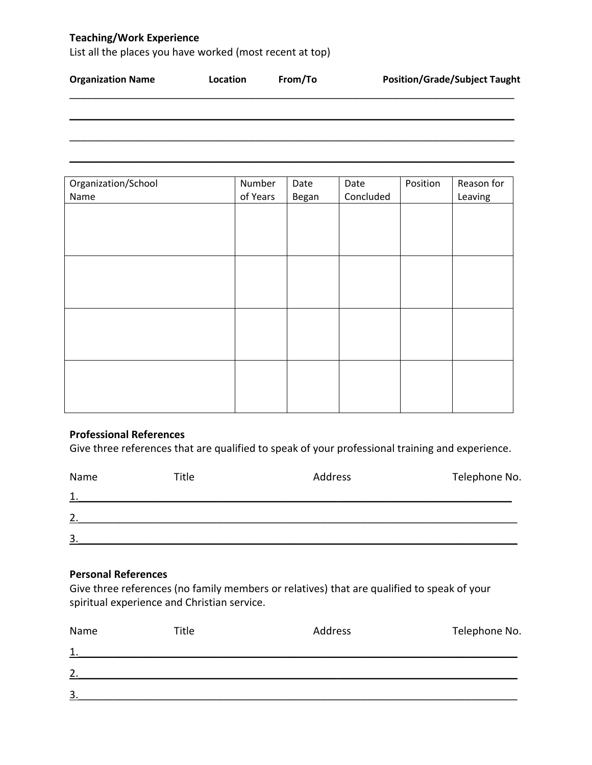## **Teaching/Work Experience**

List all the places you have worked (most recent at top)

| <b>Organization Name</b> | Location | From/To | <b>Position/Grade/Subject Taught</b> |
|--------------------------|----------|---------|--------------------------------------|
|                          |          |         |                                      |
|                          |          |         |                                      |

 $\mathcal{L} = \{ \mathcal{L} = \{ \mathcal{L} = \{ \mathcal{L} = \mathcal{L} \} \mid \mathcal{L} = \{ \mathcal{L} = \{ \mathcal{L} = \mathcal{L} \} \mid \mathcal{L} = \{ \mathcal{L} = \{ \mathcal{L} = \mathcal{L} = \mathcal{L} \} \mid \mathcal{L} = \{ \mathcal{L} = \{ \mathcal{L} = \mathcal{L} = \mathcal{L} = \mathcal{L} \} \mid \mathcal{L} = \{ \mathcal{L} = \{ \mathcal{L} = \mathcal{L} = \mathcal{L} = \mathcal{L} \} \mid \$ 

| Organization/School | Number   | Date  | Date      | Position | Reason for |
|---------------------|----------|-------|-----------|----------|------------|
| Name                | of Years | Began | Concluded |          | Leaving    |
|                     |          |       |           |          |            |
|                     |          |       |           |          |            |
|                     |          |       |           |          |            |
|                     |          |       |           |          |            |
|                     |          |       |           |          |            |
|                     |          |       |           |          |            |
|                     |          |       |           |          |            |
|                     |          |       |           |          |            |
|                     |          |       |           |          |            |
|                     |          |       |           |          |            |
|                     |          |       |           |          |            |
|                     |          |       |           |          |            |
|                     |          |       |           |          |            |
|                     |          |       |           |          |            |
|                     |          |       |           |          |            |
|                     |          |       |           |          |            |

### **Professional References**

Give three references that are qualified to speak of your professional training and experience.

| Name           | Title | Address | Telephone No. |
|----------------|-------|---------|---------------|
| $\mathbf{1}$   |       |         |               |
| $\overline{2}$ |       |         |               |
| 3              |       |         |               |

### **Personal References**

Give three references (no family members or relatives) that are qualified to speak of your spiritual experience and Christian service.

| Name | Title | Address | Telephone No. |
|------|-------|---------|---------------|
| 1.   |       |         |               |
| 2.   |       |         |               |
| 3.   |       |         |               |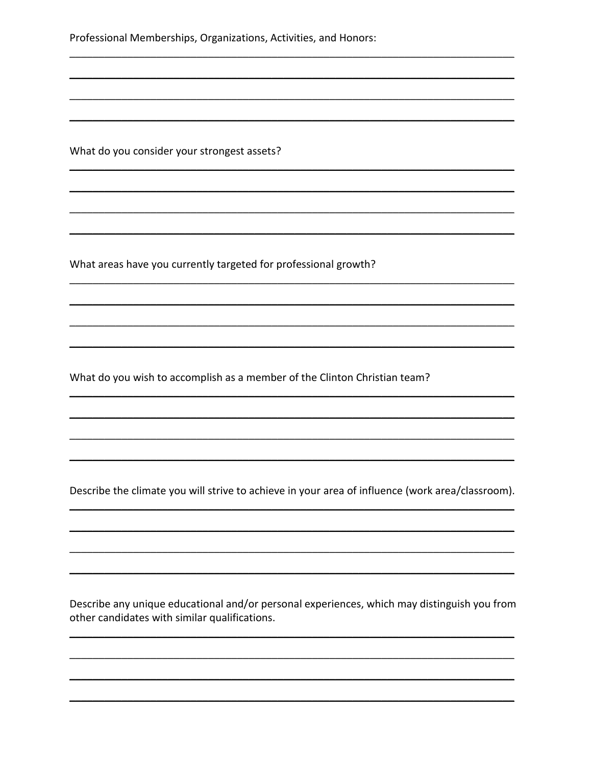Professional Memberships, Organizations, Activities, and Honors:

What do you consider your strongest assets?

What areas have you currently targeted for professional growth?

What do you wish to accomplish as a member of the Clinton Christian team?

Describe the climate you will strive to achieve in your area of influence (work area/classroom).

Describe any unique educational and/or personal experiences, which may distinguish you from other candidates with similar qualifications.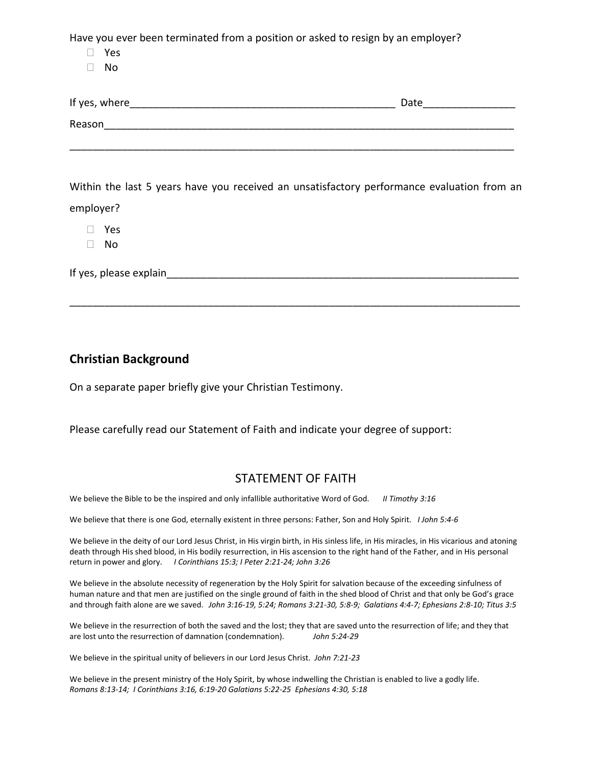Have you ever been terminated from a position or asked to resign by an employer?

Yes

No

| If yes, where_ | Date |
|----------------|------|
| Reason         |      |
|                |      |

Within the last 5 years have you received an unsatisfactory performance evaluation from an employer?

\_\_\_\_\_\_\_\_\_\_\_\_\_\_\_\_\_\_\_\_\_\_\_\_\_\_\_\_\_\_\_\_\_\_\_\_\_\_\_\_\_\_\_\_\_\_\_\_\_\_\_\_\_\_\_\_\_\_\_\_\_\_\_\_\_\_\_\_\_\_\_\_\_\_\_\_\_\_

Yes

No

If yes, please explain

## **Christian Background**

On a separate paper briefly give your Christian Testimony.

### Please carefully read our Statement of Faith and indicate your degree of support:

## STATEMENT OF FAITH

We believe the Bible to be the inspired and only infallible authoritative Word of God. *II Timothy 3:16*

We believe that there is one God, eternally existent in three persons: Father, Son and Holy Spirit. *I John 5:4-6*

We believe in the deity of our Lord Jesus Christ, in His virgin birth, in His sinless life, in His miracles, in His vicarious and atoning death through His shed blood, in His bodily resurrection, in His ascension to the right hand of the Father, and in His personal return in power and glory. *I Corinthians 15:3; I Peter 2:21-24; John 3:26* 

We believe in the absolute necessity of regeneration by the Holy Spirit for salvation because of the exceeding sinfulness of human nature and that men are justified on the single ground of faith in the shed blood of Christ and that only be God's grace and through faith alone are we saved. *John 3:16-19, 5:24; Romans 3:21-30, 5:8-9; Galatians 4:4-7; Ephesians 2:8-10; Titus 3:5*

We believe in the resurrection of both the saved and the lost; they that are saved unto the resurrection of life; and they that are lost unto the resurrection of damnation (condemnation). *John 5:24-29*

We believe in the spiritual unity of believers in our Lord Jesus Christ. *John 7:21-23*

We believe in the present ministry of the Holy Spirit, by whose indwelling the Christian is enabled to live a godly life. *Romans 8:13-14; I Corinthians 3:16, 6:19-20 Galatians 5:22-25 Ephesians 4:30, 5:18*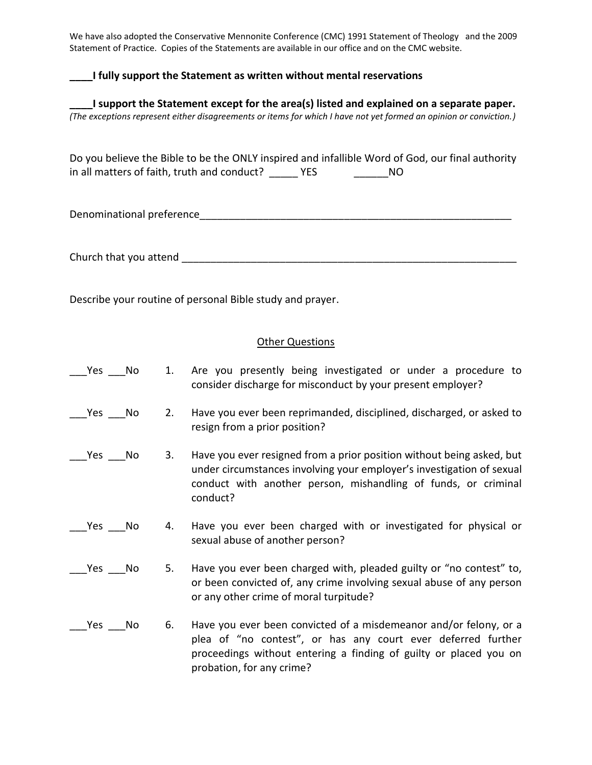We have also adopted the Conservative Mennonite Conference (CMC) 1991 Statement of Theology and the 2009 Statement of Practice. Copies of the Statements are available in our office and on the CMC website.

### **\_\_\_\_I fully support the Statement as written without mental reservations**

**\_\_\_\_I support the Statement except for the area(s) listed and explained on a separate paper.** *(The exceptions represent either disagreements or items for which I have not yet formed an opinion or conviction.)*

Do you believe the Bible to be the ONLY inspired and infallible Word of God, our final authority in all matters of faith, truth and conduct? \_\_\_\_\_\_ YES \_\_\_\_\_\_\_\_\_\_\_\_ NO

Denominational preference\_\_\_\_\_\_\_\_\_\_\_\_\_\_\_\_\_\_\_\_\_\_\_\_\_\_\_\_\_\_\_\_\_\_\_\_\_\_\_\_\_\_\_\_\_\_\_\_\_\_\_\_\_\_

Church that you attend the state of the state of the state of the state of the state of the state of the state of the state of the state of the state of the state of the state of the state of the state of the state of the

Describe your routine of personal Bible study and prayer.

#### Other Questions

- \_\_\_Yes \_\_\_No 1. Are you presently being investigated or under a procedure to consider discharge for misconduct by your present employer?
- \_\_\_Yes \_\_\_No 2. Have you ever been reprimanded, disciplined, discharged, or asked to resign from a prior position?
- \_\_\_Yes \_\_\_No 3. Have you ever resigned from a prior position without being asked, but under circumstances involving your employer's investigation of sexual conduct with another person, mishandling of funds, or criminal conduct?
- Yes No 4. Have you ever been charged with or investigated for physical or sexual abuse of another person?
- \_\_\_Yes \_\_\_No 5. Have you ever been charged with, pleaded guilty or "no contest" to, or been convicted of, any crime involving sexual abuse of any person or any other crime of moral turpitude?
- \_\_\_Yes \_\_\_No 6. Have you ever been convicted of a misdemeanor and/or felony, or a plea of "no contest", or has any court ever deferred further proceedings without entering a finding of guilty or placed you on probation, for any crime?